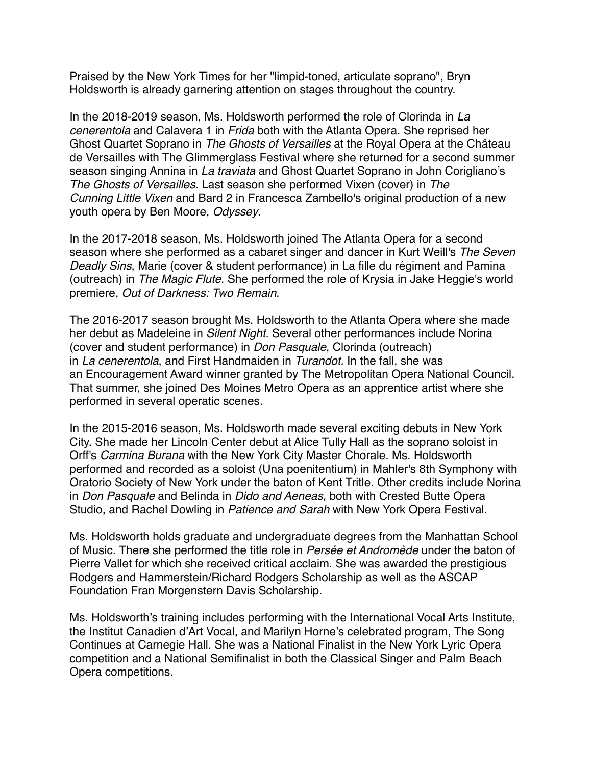Praised by the New York Times for her "limpid-toned, articulate soprano", Bryn Holdsworth is already garnering attention on stages throughout the country.

In the 2018-2019 season, Ms. Holdsworth performed the role of Clorinda in *La cenerentola* and Calavera 1 in *Frida* both with the Atlanta Opera. She reprised her Ghost Quartet Soprano in *The Ghosts of Versailles* at the Royal Opera at the Château de Versailles with The Glimmerglass Festival where she returned for a second summer season singing Annina in *La traviata* and Ghost Quartet Soprano in John Corigliano's *The Ghosts of Versailles.* Last season she performed Vixen (cover) in *The Cunning Little Vixen* and Bard 2 in Francesca Zambello's original production of a new youth opera by Ben Moore, *Odyssey*.

In the 2017-2018 season, Ms. Holdsworth joined The Atlanta Opera for a second season where she performed as a cabaret singer and dancer in Kurt Weill's *The Seven Deadly Sins*, Marie (cover & student performance) in La fille du régiment and Pamina (outreach) in *The Magic Flute*. She performed the role of Krysia in Jake Heggie's world premiere, *Out of Darkness: Two Remain*.

The 2016-2017 season brought Ms. Holdsworth to the Atlanta Opera where she made her debut as Madeleine in *Silent Night.* Several other performances include Norina (cover and student performance) in *Don Pasquale*, Clorinda (outreach) in *La cenerentola*, and First Handmaiden in *Turandot.* In the fall, she was an Encouragement Award winner granted by The Metropolitan Opera National Council. That summer, she joined Des Moines Metro Opera as an apprentice artist where she performed in several operatic scenes.

In the 2015-2016 season, Ms. Holdsworth made several exciting debuts in New York City. She made her Lincoln Center debut at Alice Tully Hall as the soprano soloist in Orff's *Carmina Burana* with the New York City Master Chorale. Ms. Holdsworth performed and recorded as a soloist (Una poenitentium) in Mahler's 8th Symphony with Oratorio Society of New York under the baton of Kent Tritle. Other credits include Norina in *Don Pasquale* and Belinda in *Dido and Aeneas,* both with Crested Butte Opera Studio, and Rachel Dowling in *Patience and Sarah* with New York Opera Festival.

Ms. Holdsworth holds graduate and undergraduate degrees from the Manhattan School of Music. There she performed the title role in *Persée et Andromède* under the baton of Pierre Vallet for which she received critical acclaim. She was awarded the prestigious Rodgers and Hammerstein/Richard Rodgers Scholarship as well as the ASCAP Foundation Fran Morgenstern Davis Scholarship.

Ms. Holdsworth's training includes performing with the International Vocal Arts Institute, the Institut Canadien d'Art Vocal, and Marilyn Horne's celebrated program, The Song Continues at Carnegie Hall. She was a National Finalist in the New York Lyric Opera competition and a National Semifinalist in both the Classical Singer and Palm Beach Opera competitions.